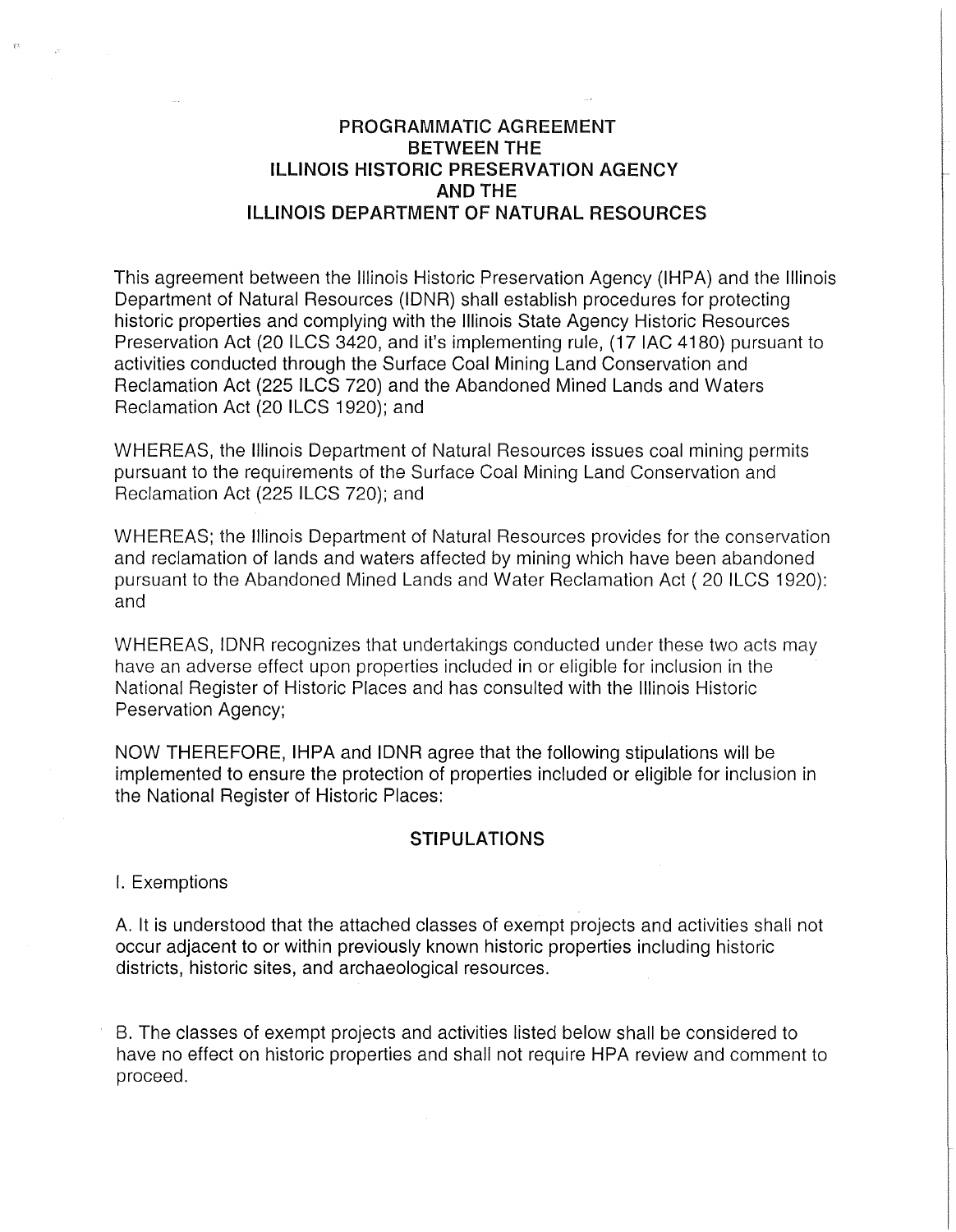## **PROGRAMMATIC AGREEMENT BETWEEN THE ILLINOIS HISTORIC PRESERVATION AGENCY AND THE ILLINOIS DEPARTMENT OF NATURAL RESOURCES**

This agreement between the Illinois Historic Preservation Agency (IHPA) and the Illinois Department of Natural Resources (IDNR) shall establish procedures for protecting historic properties and complying with the Illinois State Agency Historic Resources Preservation Act (20 ILCS 3420, and it's implementing rule, (17 IAC 4180) pursuant to activities conducted through the Surface Coal Mining Land Conservation and Reclamation Act (225 ILCS 720) and the Abandoned Mined Lands and Waters Reclamation Act (20 ILCS 1920); and

WHEREAS, the Illinois Department of Natural Resources issues coal mining permits pursuant to the requirements of the Surface Coal Mining Land Conservation and Reclamation Act (225 ILCS 720); and

WHEREAS; the Illinois Department of Natural Resources provides for the conservation and reclamation of lands and waters affected by mining which have been abandoned pursuant to the Abandoned Mined Lands and Water Reclamation Act ( 20 ILCS 1920): and

WHEREAS, IDNR recognizes that undertakings conducted under these two acts may have an adverse effect upon properties included in or eligible for inclusion in the National Register of Historic Places and has consulted with the Illinois Historic Peservation Agency;

NOW THEREFORE, IHPA and IDNR agree that the following stipulations will be implemented to ensure the protection of properties included or eligible for inclusion in the National Register of Historic Places:

#### **STIPULATIONS**

I. Exemptions

A. It is understood that the attached classes of exempt projects and activities shall not occur adjacent to or within previously known historic properties including historic districts, historic sites, and archaeological resources.

B. The classes of exempt projects and activities listed below shall be considered to have no effect on historic properties and shall not require HPA review and comment to proceed.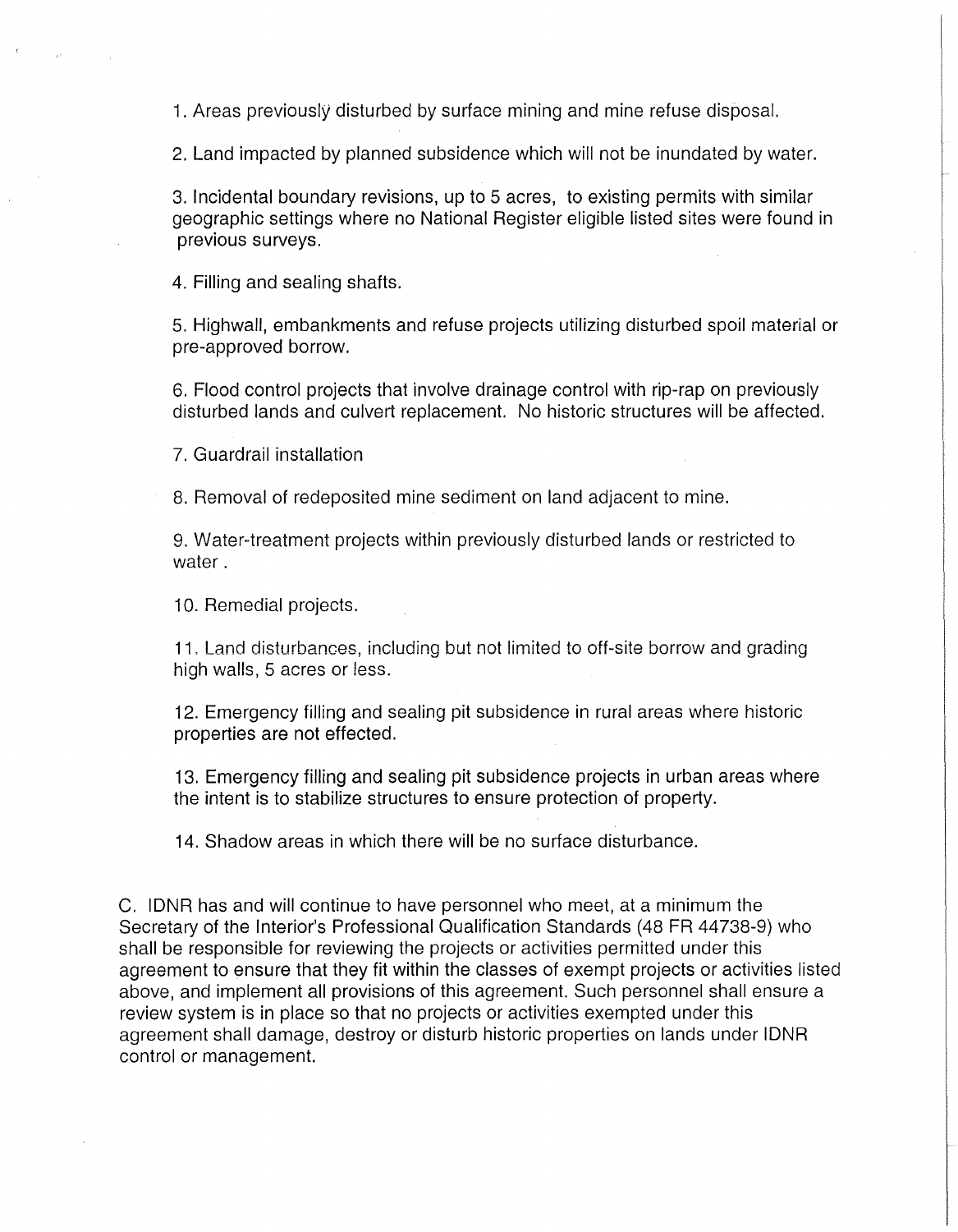1. Areas previously disturbed by surface mining and mine refuse disposal.

2. Land impacted by planned subsidence which will not be inundated by water.

3. Incidental boundary revisions, up to 5 acres, to existing permits with similar geographic settings where no National Register eligible listed sites were found in previous surveys.

4. Filling and sealing shafts.

5. Highwall, embankments and refuse projects utilizing disturbed spoil material or pre-approved borrow.

6. Flood control projects that involve drainage control with rip-rap on previously disturbed lands and culvert replacement. No historic structures will be affected.

7. Guardrail installation

8. Removal of redeposited mine sediment on land adjacent to mine.

9. Water-treatment projects within previously disturbed lands or restricted to water.

10. Remedial projects.

11. Land disturbances, including but not limited to off-site borrow and grading high walls, 5 acres or less.

12. Emergency filling and sealing pit subsidence in rural areas where historic properties are not effected.

13. Emergency filling and sealing pit subsidence projects in urban areas where the intent is to stabilize structures to ensure protection of property.

14. Shadow areas in which there will be no surface disturbance.

C. IDNR has and will continue to have personnel who meet, at a minimum the Secretary of the Interior's Professional Qualification Standards (48 FR 44738-9) who shall be responsible for reviewing the projects or activities permitted under this agreement to ensure that they fit within the classes of exempt projects or activities listed above, and implement all provisions of this agreement. Such personnel shall ensure a review system is in place so that no projects or activities exempted under this agreement shall damage, destroy or disturb historic properties on lands under IDNR control or management.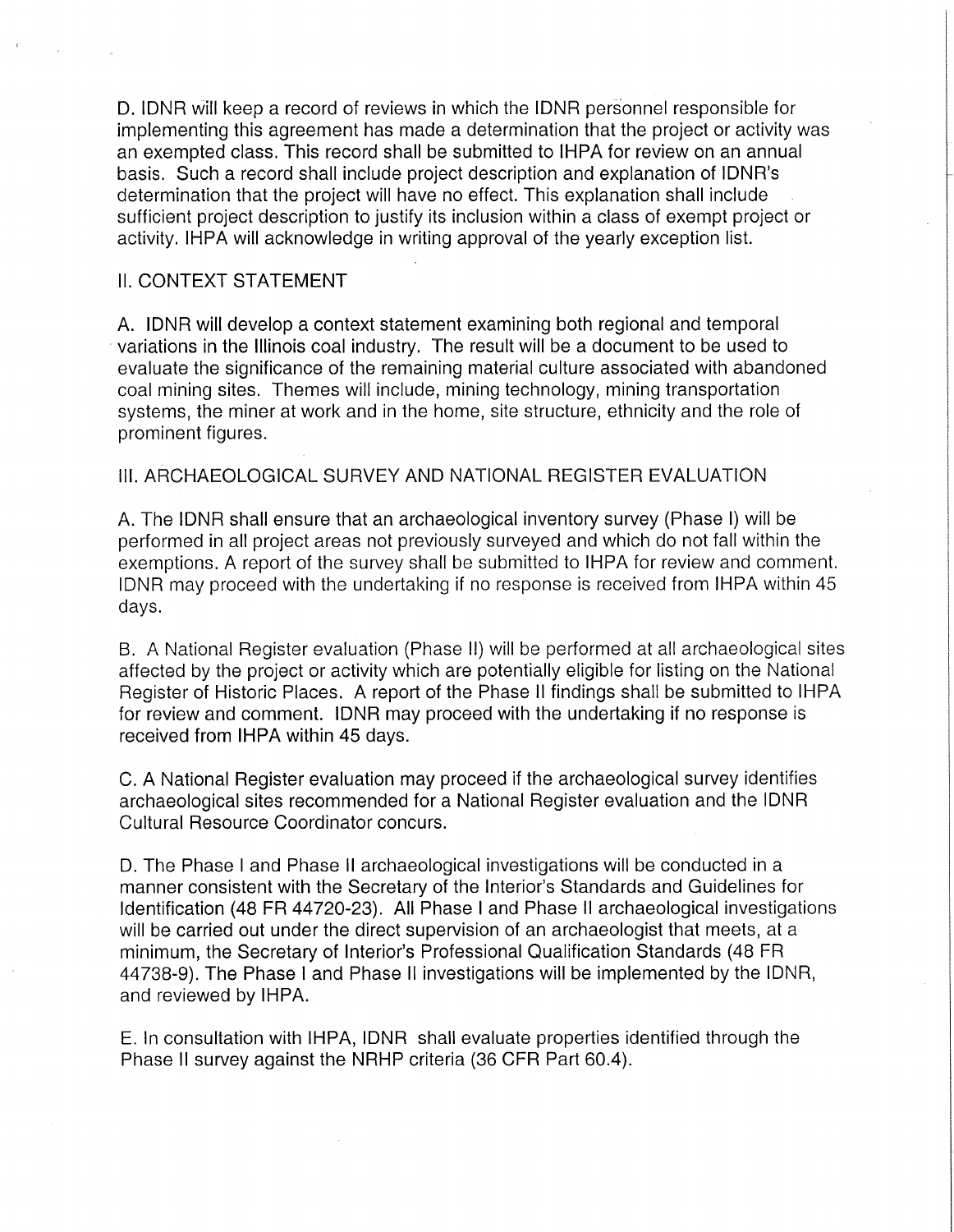D. IDNR will keep a record of reviews in which the IDNR personnel responsible for implementing this agreement has made a determination that the project or activity was an exempted class. This record shall be submitted to IHPA for review on an annual basis. Such a record shall include project description and explanation of IDNR's determination that the project will have no effect. This explanation shall include sufficient project description to justify its inclusion within a class of exempt project or activity. IHPA will acknowledge in writing approval of the yearly exception list.

#### II. CONTEXT STATEMENT

A. IDNR will develop a context statement examining both regional and temporal variations in the Illinois coal industry. The result will be a document to be used to evaluate the significance of the remaining material culture associated with abandoned coal mining sites. Themes will include, mining technology, mining transportation systems, the miner at work and in the home, site structure, ethnicity and the role of prominent figures.

#### 111. ARCHAEOLOGICAL SURVEY AND NATIONAL REGISTER EVALUATION

A. The IDNR shall ensure that an archaeological inventory survey (Phase I) will be performed in all project areas not previously surveyed and which do not fall within the exemptions. A report of the survey shall be submitted to IHPA for review and comment. IDNR may proceed with the undertaking if no response is received from IHPA within 45 days.

B. A National Register evaluation (Phase II) will be performed at all archaeological sites affected by the project or activity which are potentially eligible for listing on the National Register of Historic Places. A report of the Phase II findings shall be submitted to IHPA for review and comment. IDNR may proceed with the undertaking if no response is received from IHPA within 45 days.

C. A National Register evaluation may proceed if the archaeological survey identifies archaeological sites recommended for a National Register evaluation and the IDNR Cultural Resource Coordinator concurs.

D. The Phase I and Phase II archaeological investigations will be conducted in a manner consistent with the Secretary of the Interior's Standards and Guidelines for Identification (48 FR 44720-23). All Phase I and Phase II archaeological investigations will be carried out under the direct supervision of an archaeologist that meets, at a minimum, the Secretary of Interior's Professional Qualification Standards (48 FR 44738-9). The Phase I and Phase II investigations will be implemented by the IDNR, and reviewed by IHPA.

E. In consultation with IHPA, IDNR shall evaluate properties identified through the Phase II survey against the NRHP criteria (36 CFR Part 60.4).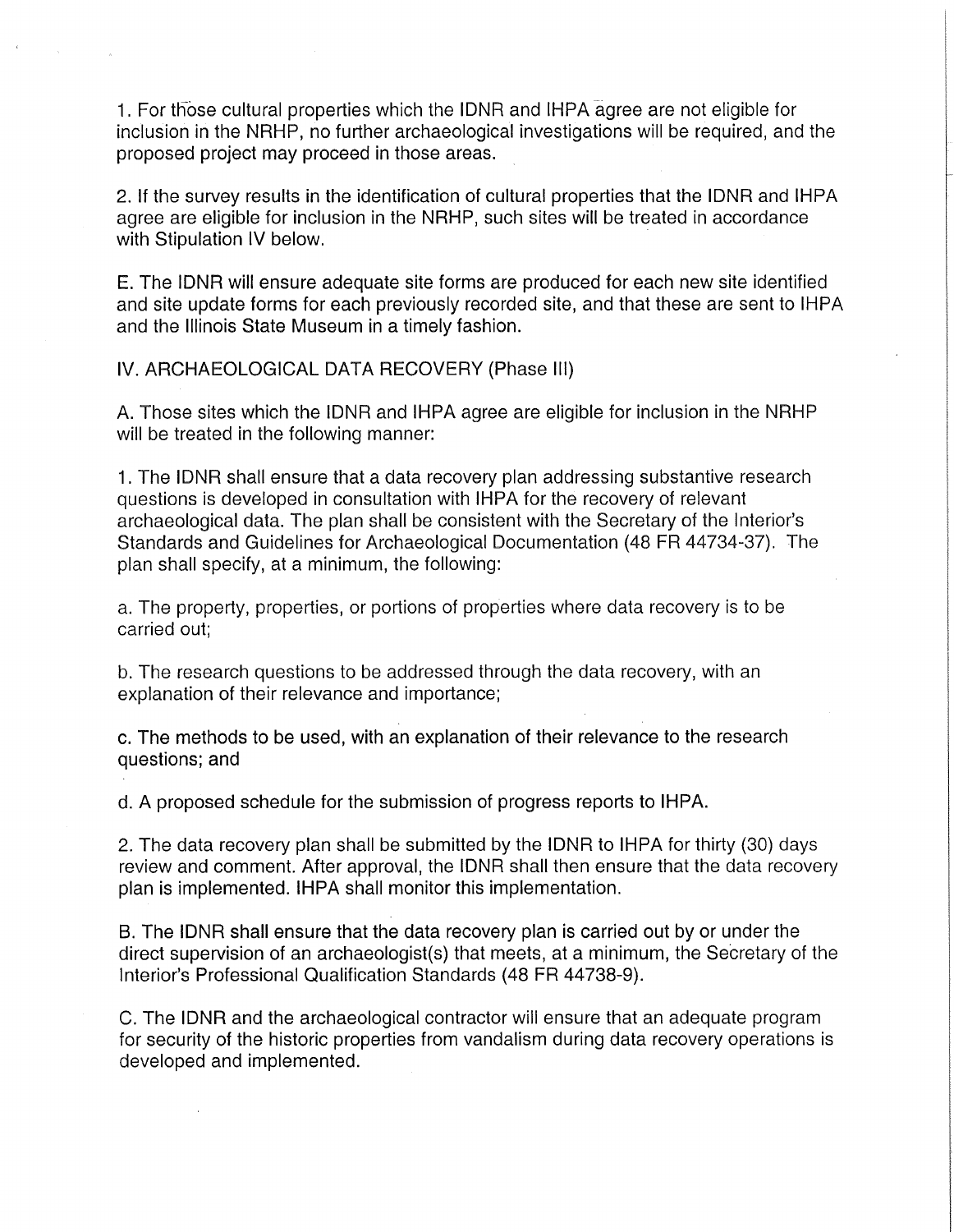1. For those cultural properties which the IDNR and IHPA agree are not eligible for inclusion in the NRHP, no further archaeological investigations will be required, and the proposed project may proceed in those areas.

2. If the survey results in the identification of cultural properties that the IDNR and IHPA agree are eligible for inclusion in the NRHP, such sites will be treated in accordance with Stipulation IV below.

E. The IDNR will ensure adequate site forms are produced for each new site identified and site update forms for each previously recorded site, and that these are sent to IHPA and the Illinois State Museum in a timely fashion.

IV. ARCHAEOLOGICAL DATA RECOVERY (Phase Ill)

A. Those sites which the IDNR and IHPA agree are eligible for inclusion in the NRHP will be treated in the following manner:

1. The IDNR shall ensure that a data recovery plan addressing substantive research questions is developed in consultation with IHPA for the recovery of relevant archaeological data. The plan shall be consistent with the Secretary of the Interior's Standards and Guidelines for Archaeological Documentation (48 FR 44734-37). The plan shall specify, at a minimum, the following:

a. The property, properties, or portions of properties where data recovery is to be carried out;

b. The research questions to be addressed through the data recovery, with an explanation of their relevance and importance;

c. The methods to be used, with an explanation of their relevance to the research questions; and

d. A proposed schedule for the submission of progress reports to IHPA.

2. The data recovery plan shall be submitted by the IDNR to IHPA for thirty (30) days review and comment. After approval, the IDNR shall then ensure that the data recovery plan is implemented. IHPA shall monitor this implementation.

B. The IDNR shall ensure that the data recovery plan is carried out by or under the direct supervision of an archaeologist(s) that meets, at a minimum, the Secretary of the Interior's Professional Qualification Standards (48 FR 44738-9).

C. The IDNR and the archaeological contractor will ensure that an adequate program for security of the historic properties from vandalism during data recovery operations is developed and implemented.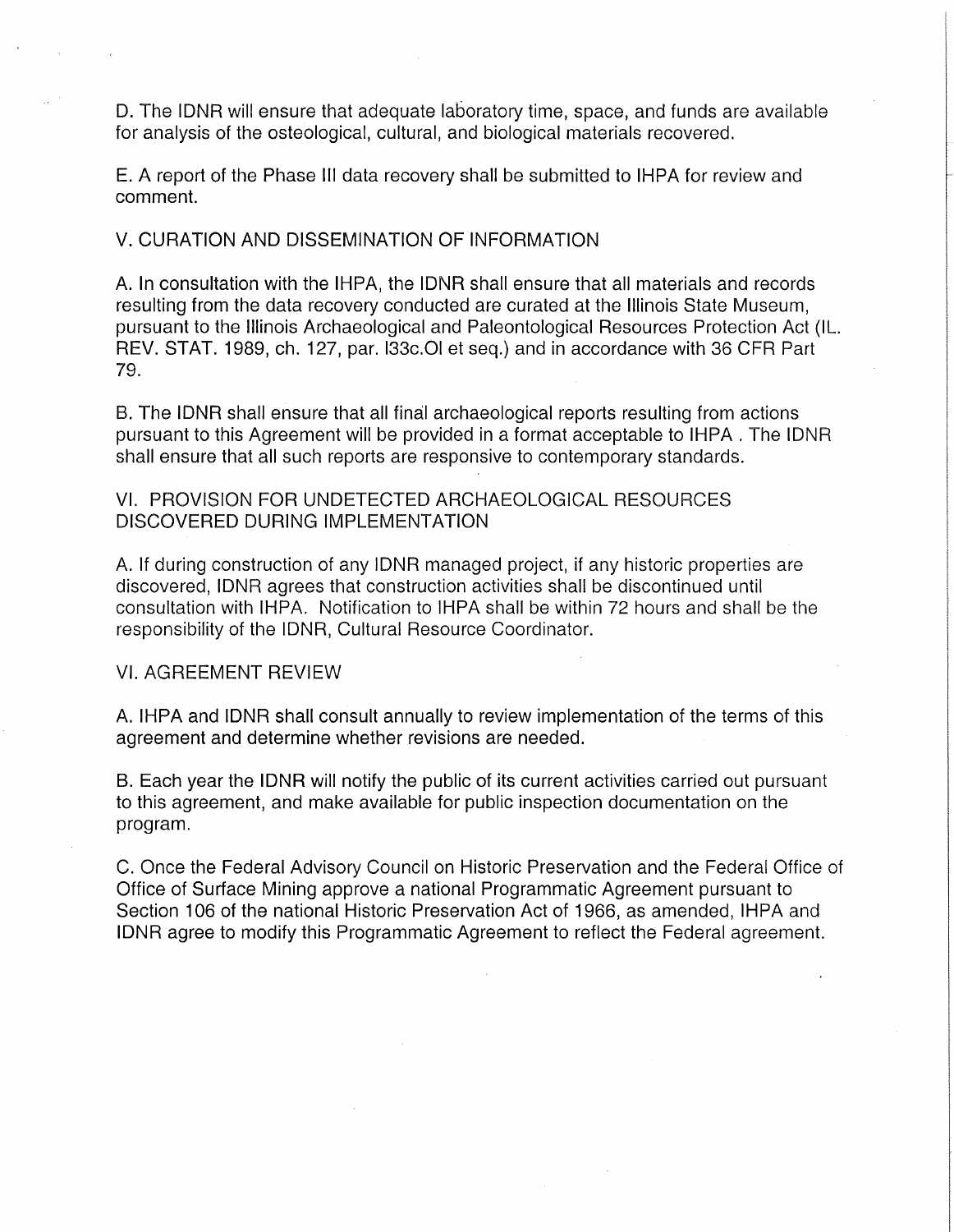D. The IDNR will ensure that adequate laboratory time, space, and funds are available for analysis of the osteological, cultural, and biological materials recovered.

E. A report of the Phase Ill data recovery shall be submitted to IHPA for review and comment.

V. CURATION AND DISSEMINATION OF INFORMATION

A. In consultation with the IHPA, the IDNR shall ensure that all materials and records resulting from the data recovery conducted are curated at the Illinois State Museum, pursuant to the Illinois Archaeological and Paleontological Resources Protection Act (IL. REV. STAT. 1989, ch. 127, par. I33c.OI et seq.) and in accordance with 36 CFR Part 79.

B. The IDNR shall ensure that all final archaeological reports resulting from actions pursuant to this Agreement will be provided in a format acceptable to IHPA. The IDNR shall ensure that all such reports are responsive to contemporary standards.

### VI. PROVISION FOR UNDETECTED ARCHAEOLOGICAL RESOURCES DISCOVERED DURING IMPLEMENTATION

A. If during construction of any IDNR managed project, if any historic properties are discovered, IDNR agrees that construction activities shall be discontinued until consultation with IHPA. Notification to IHPA shall be within 72 hours and shall be the responsibility of the IDNR, Cultural Resource Coordinator.

VI. AGREEMENT REVIEW

A. IHPA and IDNR shall consult annually to review implementation of the terms of this agreement and determine whether revisions are needed.

B. Each year the IDNR will notify the public of its current activities carried out pursuant to this agreement, and make available for public inspection documentation on the program.

C. Once the Federal Advisory Council on Historic Preservation and the Federal Office of Office of Surface Mining approve a national Programmatic Agreement pursuant to Section 106 of the national Historic Preservation Act of 1966, as amended, IHPA and IDNR agree to modify this Programmatic Agreement to reflect the Federal agreement.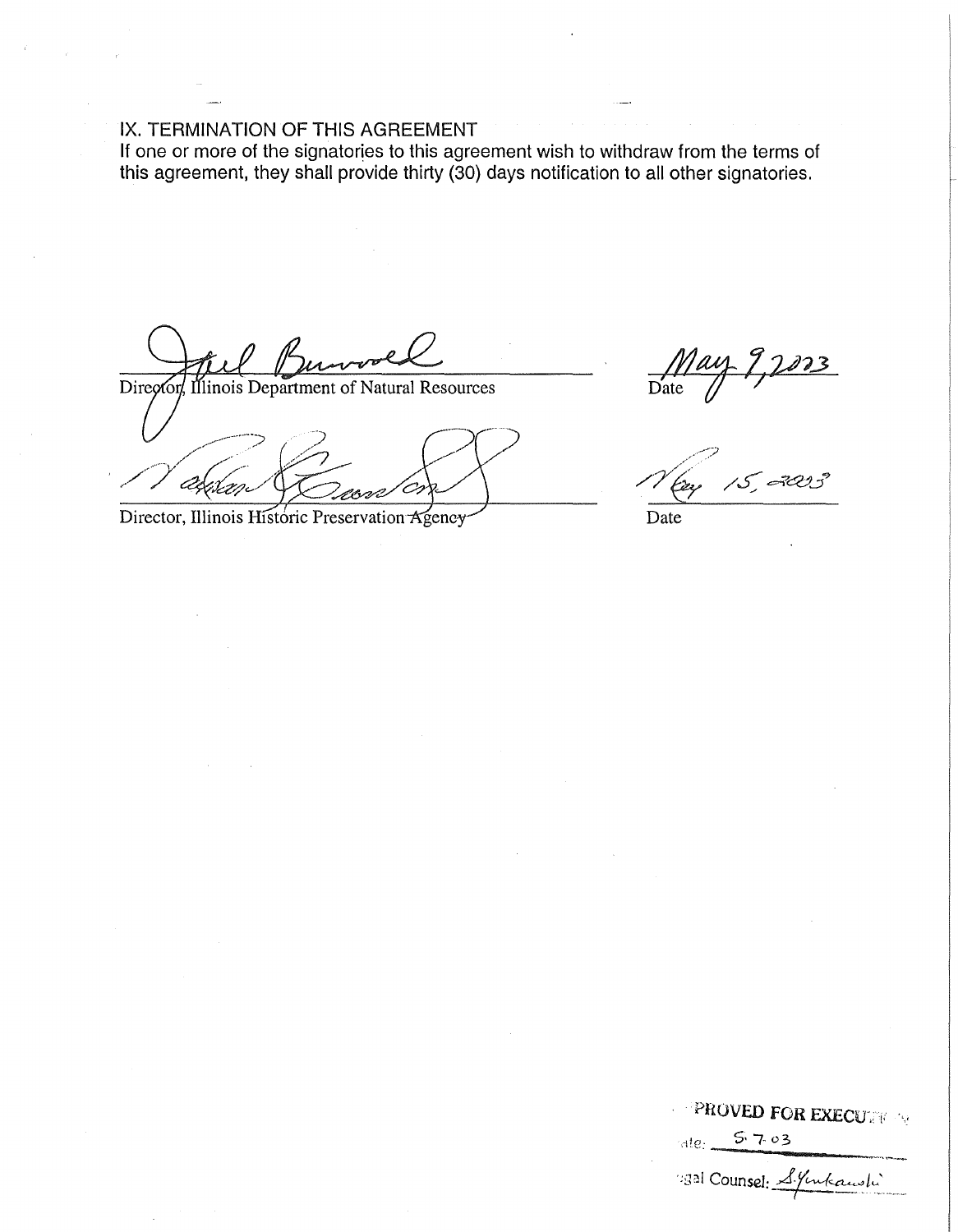#### IX. TERMINATION OF THIS AGREEMENT

If one or more of the signatories to this agreement wish to withdraw from the terms of this agreement, they shall provide thirty (30) days notification to all other signatories.

Director linois Department of Natural Resources

Director, Illinois Historic Preservation Agency

 $\mathscr{N}_{\mathscr{C}\!\!\mathscr{A}}^{\mathscr{D}}$ 

Date

**PROVED FOR EXECUTIVE:**  $5703$  $ale$ 330 Counsel: S. Jukanshi